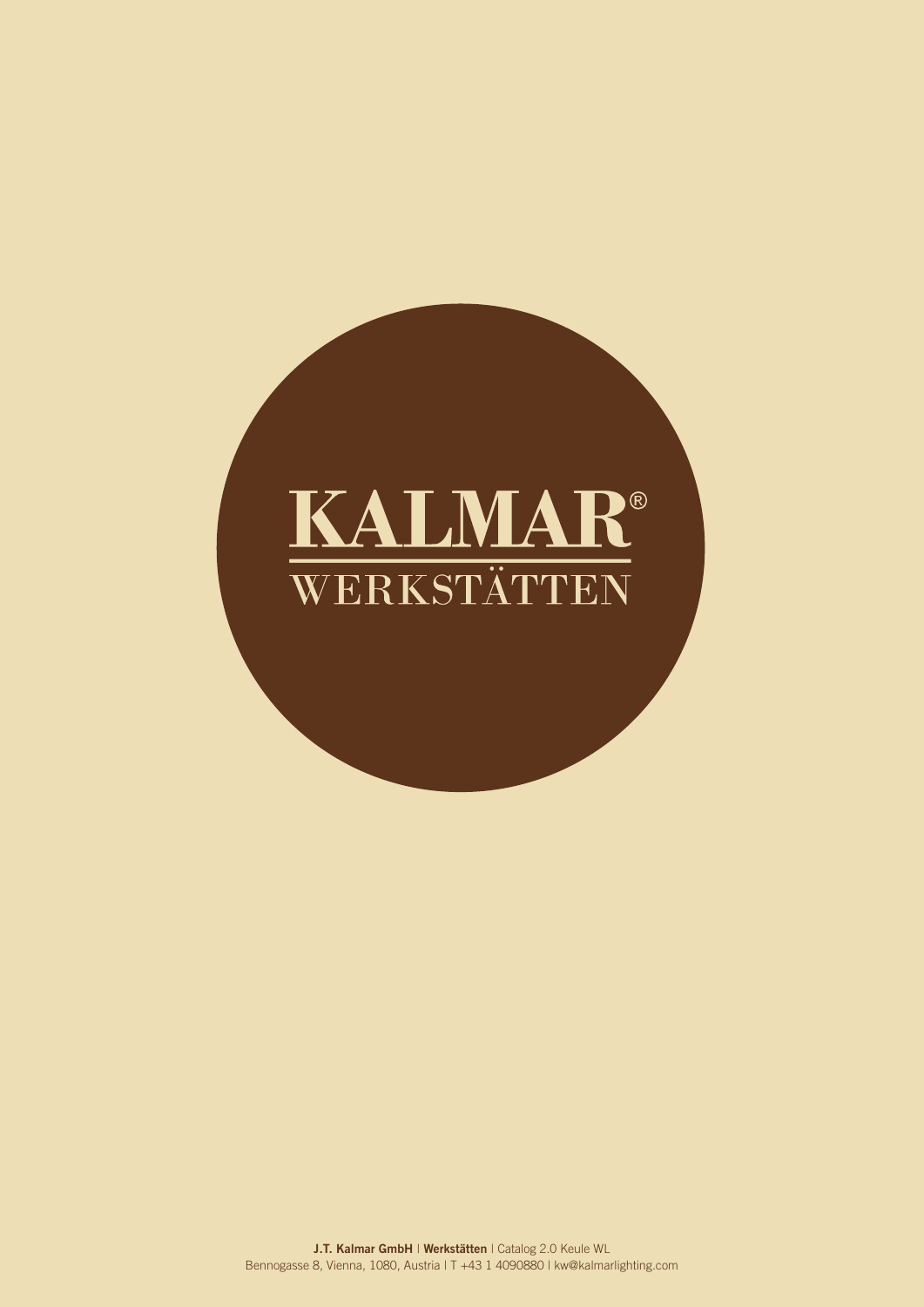# KALMAR® WERKSTÄTTEN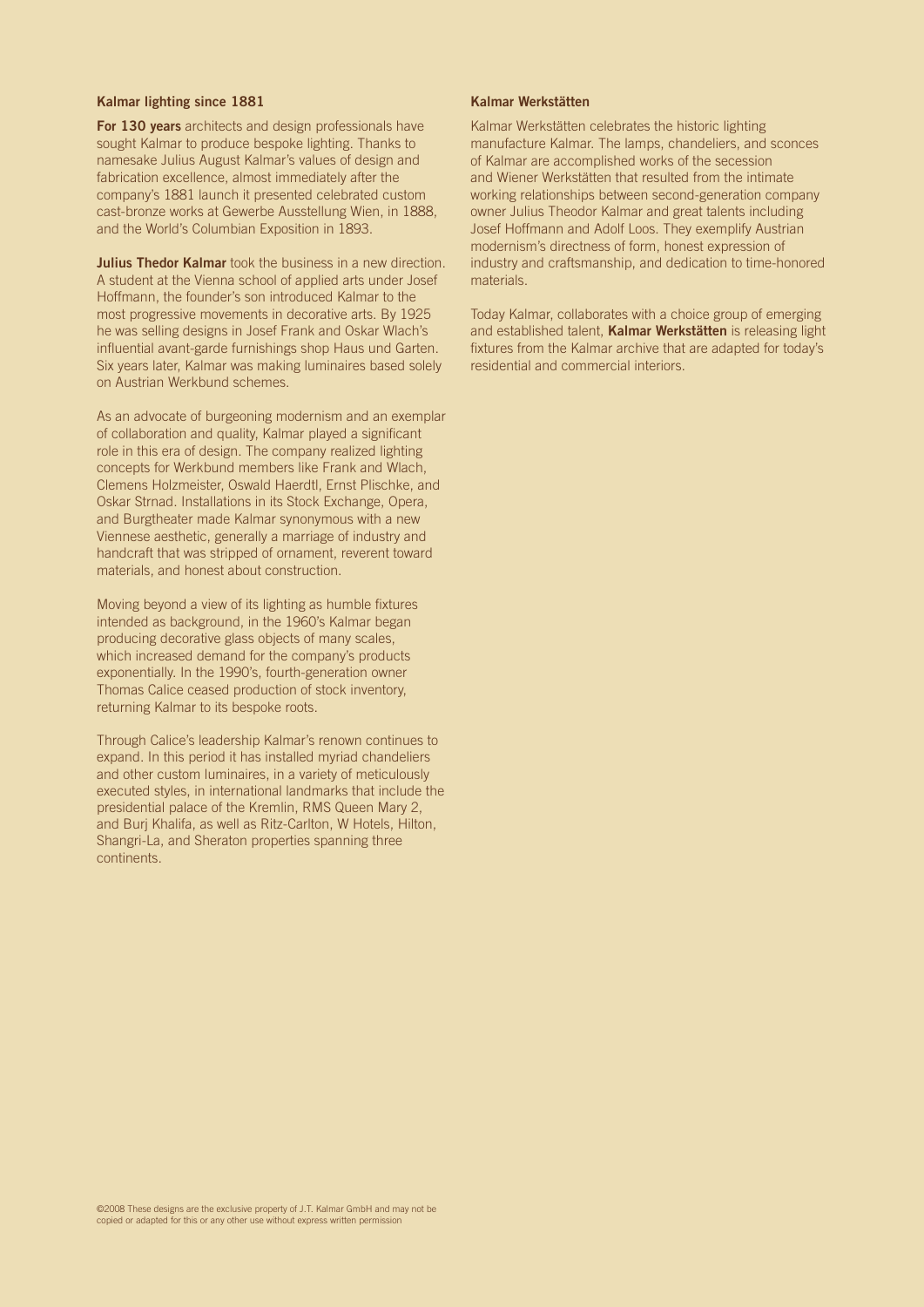# Kalmar lighting since 1881

For 130 years architects and design professionals have sought Kalmar to produce bespoke lighting. Thanks to namesake Julius August Kalmar's values of design and fabrication excellence, almost immediately after the company's 1881 launch it presented celebrated custom cast-bronze works at Gewerbe Ausstellung Wien, in 1888, and the World's Columbian Exposition in 1893.

**Julius Thedor Kalmar** took the business in a new direction. A student at the Vienna school of applied arts under Josef Hoffmann, the founder's son introduced Kalmar to the most progressive movements in decorative arts. By 1925 he was selling designs in Josef Frank and Oskar Wlach's influential avant-garde furnishings shop Haus und Garten. Six years later, Kalmar was making luminaires based solely on Austrian Werkbund schemes.

As an advocate of burgeoning modernism and an exemplar of collaboration and quality, Kalmar played a significant role in this era of design. The company realized lighting concepts for Werkbund members like Frank and Wlach, Clemens Holzmeister, Oswald Haerdtl, Ernst Plischke, and Oskar Strnad. Installations in its Stock Exchange, Opera, and Burgtheater made Kalmar synonymous with a new Viennese aesthetic, generally a marriage of industry and handcraft that was stripped of ornament, reverent toward materials, and honest about construction.

Moving beyond a view of its lighting as humble fixtures intended as background, in the 1960's Kalmar began producing decorative glass objects of many scales, which increased demand for the company's products exponentially. In the 1990's, fourth-generation owner Thomas Calice ceased production of stock inventory, returning Kalmar to its bespoke roots.

Through Calice's leadership Kalmar's renown continues to expand. In this period it has installed myriad chandeliers and other custom luminaires, in a variety of meticulously executed styles, in international landmarks that include the presidential palace of the Kremlin, RMS Queen Mary 2, and Burj Khalifa, as well as Ritz-Carlton, W Hotels, Hilton, Shangri-La, and Sheraton properties spanning three continents.

## Kalmar Werkstätten

Kalmar Werkstätten celebrates the historic lighting manufacture Kalmar. The lamps, chandeliers, and sconces of Kalmar are accomplished works of the secession and Wiener Werkstätten that resulted from the intimate working relationships between second-generation company owner Julius Theodor Kalmar and great talents including Josef Hoffmann and Adolf Loos. They exemplify Austrian modernism's directness of form, honest expression of industry and craftsmanship, and dedication to time-honored materials.

Today Kalmar, collaborates with a choice group of emerging and established talent, Kalmar Werkstätten is releasing light fixtures from the Kalmar archive that are adapted for today's residential and commercial interiors.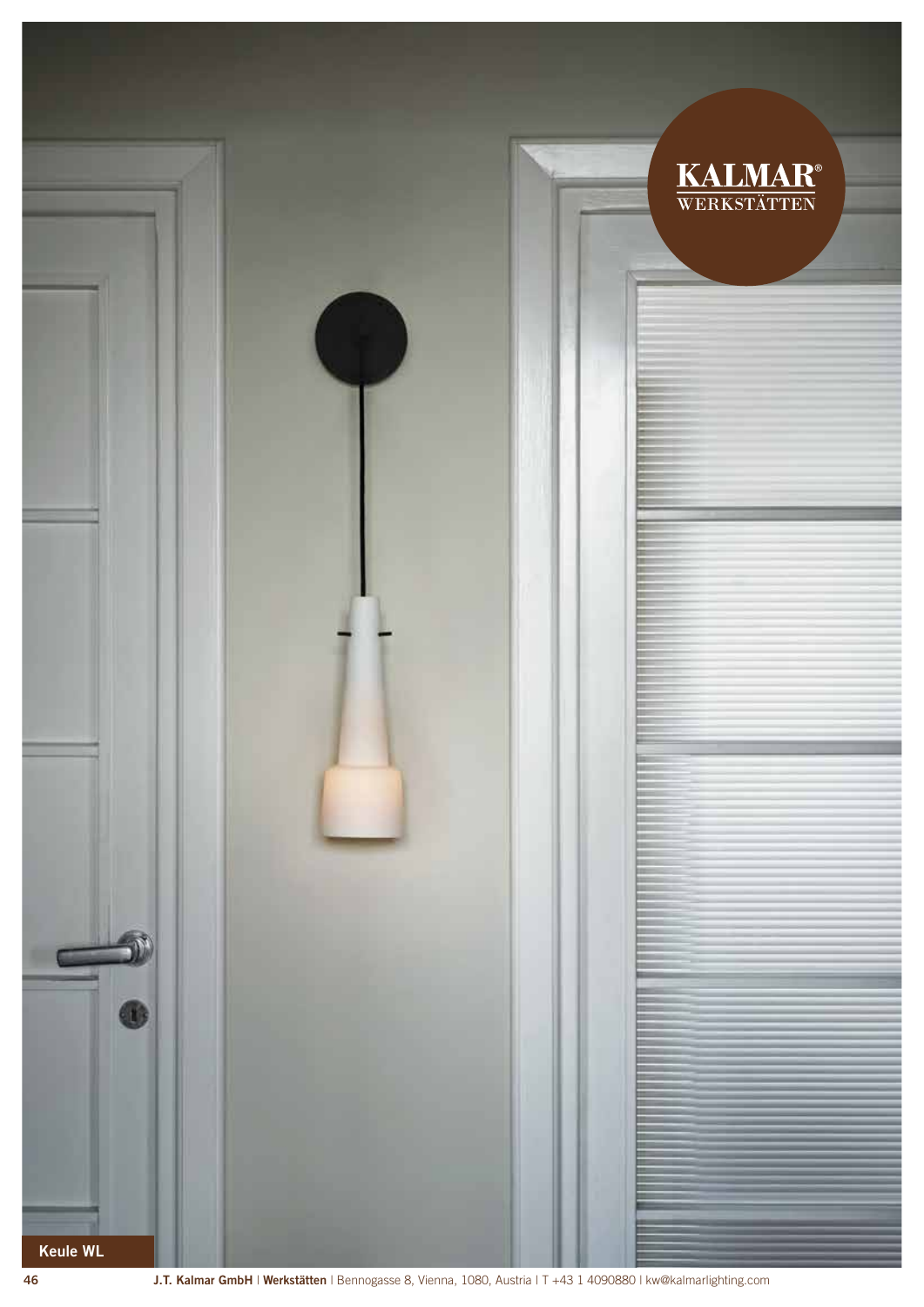

<sup>46</sup> J.T. Kalmar GmbH | Werkstätten | Bennogasse 8, Vienna, 1080, Austria | T +43 1 4090880 | kw@kalmarlighting.com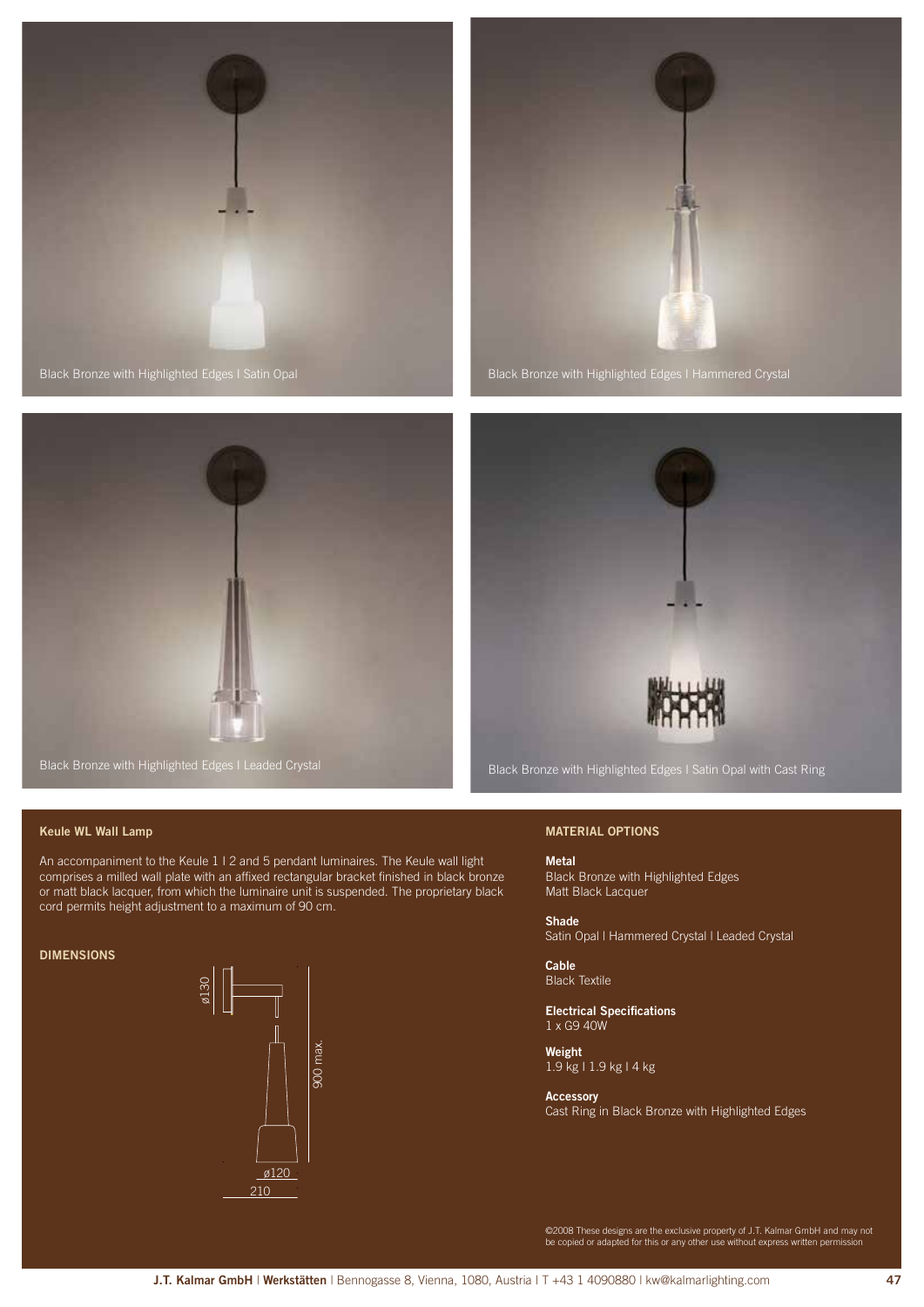

Black Bronze with Highlighted Edges I Satin Opal







## Keule WL Wall Lamp

An accompaniment to the Keule 1 I 2 and 5 pendant luminaires. The Keule wall light comprises a milled wall plate with an affixed rectangular bracket finished in black bronze or matt black lacquer, from which the luminaire unit is suspended. The proprietary black cord permits height adjustment to a maximum of 90 cm.

#### **DIMENSIONS**



## MATERIAL OPTIONS

Metal Black Bronze with Highlighted Edges Matt Black Lacquer

Shade Satin Opal I Hammered Crystal I Leaded Crystal

Cable Black Textile

Electrical Specifications 1 x G9 40W

Weight 1.9 kg I 1.9 kg I 4 kg

#### Accessory

Cast Ring in Black Bronze with Highlighted Edges

©2008 These designs are the exclusive property of J.T. Kalmar GmbH and may not be copied or adapted for this or any other use without express written permission